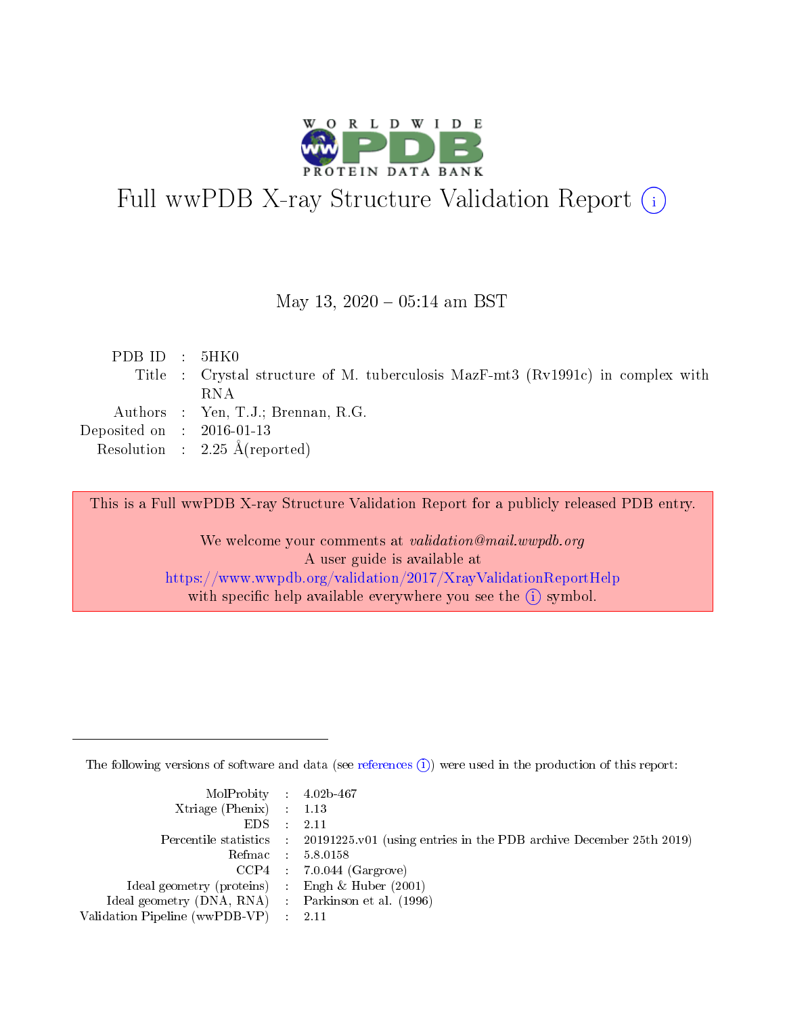

# Full wwPDB X-ray Structure Validation Report (i)

#### May 13,  $2020 - 05:14$  am BST

| PDBID : 5HK0                |                                                                                 |
|-----------------------------|---------------------------------------------------------------------------------|
|                             | Title : Crystal structure of M. tuberculosis MazF-mt3 (Rv1991c) in complex with |
|                             | RNA                                                                             |
|                             | Authors : Yen, T.J.; Brennan, R.G.                                              |
| Deposited on : $2016-01-13$ |                                                                                 |
|                             | Resolution : $2.25 \text{ Å}$ (reported)                                        |
|                             |                                                                                 |

This is a Full wwPDB X-ray Structure Validation Report for a publicly released PDB entry.

We welcome your comments at validation@mail.wwpdb.org A user guide is available at <https://www.wwpdb.org/validation/2017/XrayValidationReportHelp> with specific help available everywhere you see the  $(i)$  symbol.

The following versions of software and data (see [references](https://www.wwpdb.org/validation/2017/XrayValidationReportHelp#references)  $(i)$ ) were used in the production of this report:

| MolProbity : 4.02b-467                              |                                                                                            |
|-----------------------------------------------------|--------------------------------------------------------------------------------------------|
| Xtriage (Phenix) $: 1.13$                           |                                                                                            |
| $EDS = 2.11$                                        |                                                                                            |
|                                                     | Percentile statistics : 20191225.v01 (using entries in the PDB archive December 25th 2019) |
|                                                     | Refmac : 5.8.0158                                                                          |
|                                                     | $CCP4$ : 7.0.044 (Gargrove)                                                                |
| Ideal geometry (proteins) : Engh $\&$ Huber (2001)  |                                                                                            |
| Ideal geometry (DNA, RNA) : Parkinson et al. (1996) |                                                                                            |
| Validation Pipeline (wwPDB-VP) : 2.11               |                                                                                            |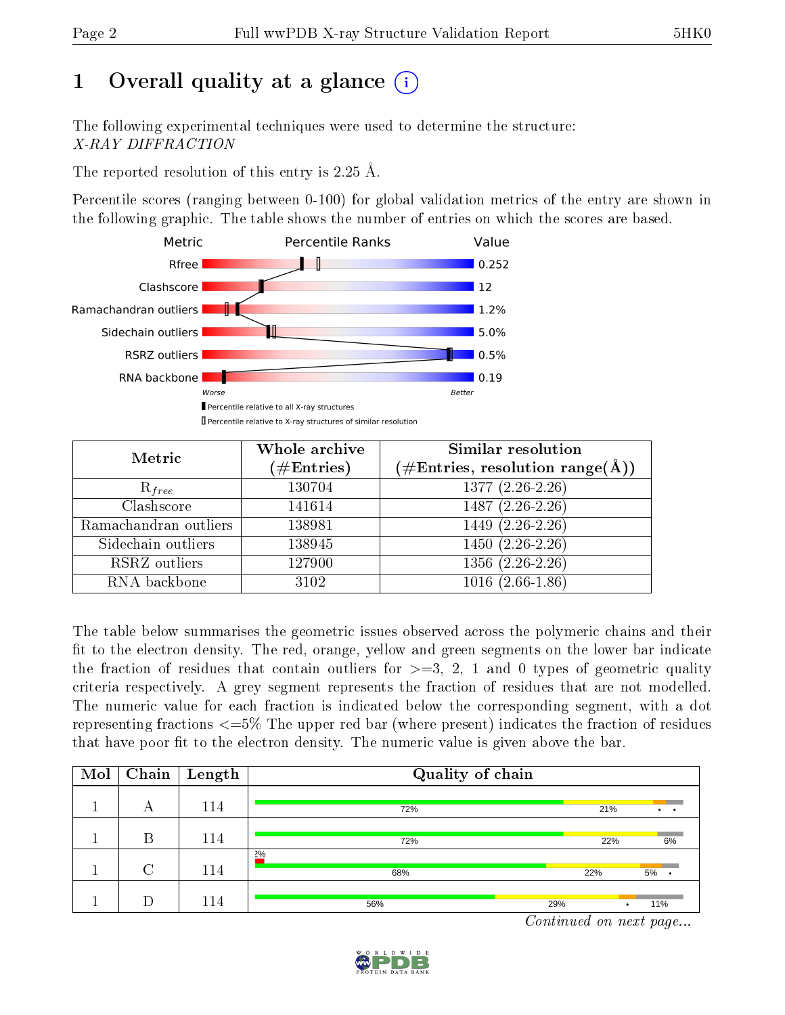# 1 [O](https://www.wwpdb.org/validation/2017/XrayValidationReportHelp#overall_quality)verall quality at a glance  $(i)$

The following experimental techniques were used to determine the structure: X-RAY DIFFRACTION

The reported resolution of this entry is 2.25 Å.

Percentile scores (ranging between 0-100) for global validation metrics of the entry are shown in the following graphic. The table shows the number of entries on which the scores are based.



| Metric                | Whole archive        | <b>Similar resolution</b>                          |
|-----------------------|----------------------|----------------------------------------------------|
|                       | $(\#\text{Entries})$ | $(\text{\#Entries, resolution range}(\text{\AA}))$ |
| $R_{free}$            | 130704               | $1377(2.26-2.26)$                                  |
| Clashscore            | 141614               | $1487(2.26-2.26)$                                  |
| Ramachandran outliers | 138981               | $1449(2.26-2.26)$                                  |
| Sidechain outliers    | 138945               | $1450(2.26-2.26)$                                  |
| RSRZ outliers         | 127900               | $1356(2.26-2.26)$                                  |
| RNA backbone          | 3102                 | $1016(2.66-1.86)$                                  |

The table below summarises the geometric issues observed across the polymeric chains and their fit to the electron density. The red, orange, yellow and green segments on the lower bar indicate the fraction of residues that contain outliers for  $>=3, 2, 1$  and 0 types of geometric quality criteria respectively. A grey segment represents the fraction of residues that are not modelled. The numeric value for each fraction is indicated below the corresponding segment, with a dot representing fractions  $\epsilon = 5\%$  The upper red bar (where present) indicates the fraction of residues that have poor fit to the electron density. The numeric value is given above the bar.

| Mol | Chain  | $\bold{Length}$ | Quality of chain |                                    |     |                 |
|-----|--------|-----------------|------------------|------------------------------------|-----|-----------------|
|     | А      | 114             | 72%              |                                    | 21% | $\cdot$ $\cdot$ |
|     | B      | 114             | 72%              |                                    | 22% | 6%              |
|     | $\cap$ | 114             | $2\%$<br>68%     |                                    | 22% | 5%              |
|     |        | 114             | 56%              | 29%<br>$\sim$ $\sim$ $\sim$ $\sim$ |     | 11%             |

Continued on next page...

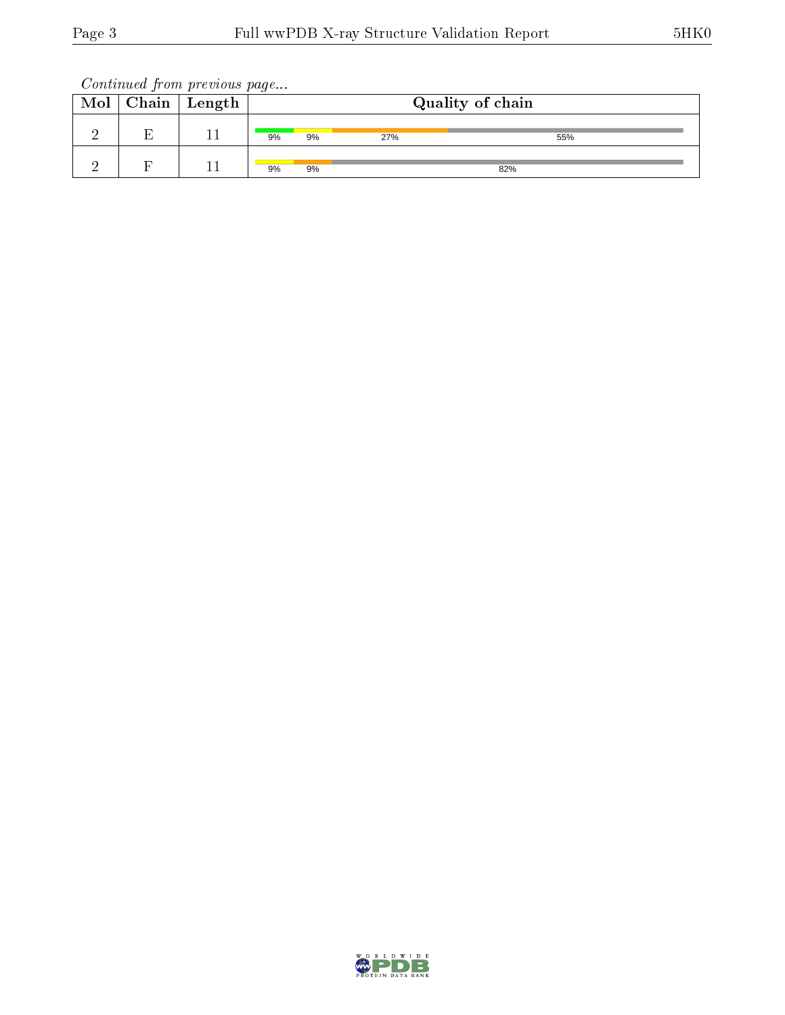Continued from previous page...

| Chain                          | $^{\shortmid}$ Length |    |    |     | Quality of chain |  |
|--------------------------------|-----------------------|----|----|-----|------------------|--|
| $\mathbf{\mathbf{\mathbf{r}}}$ |                       | 9% | 9% | 27% | 55%              |  |
|                                |                       | 9% | 9% |     | 82%              |  |

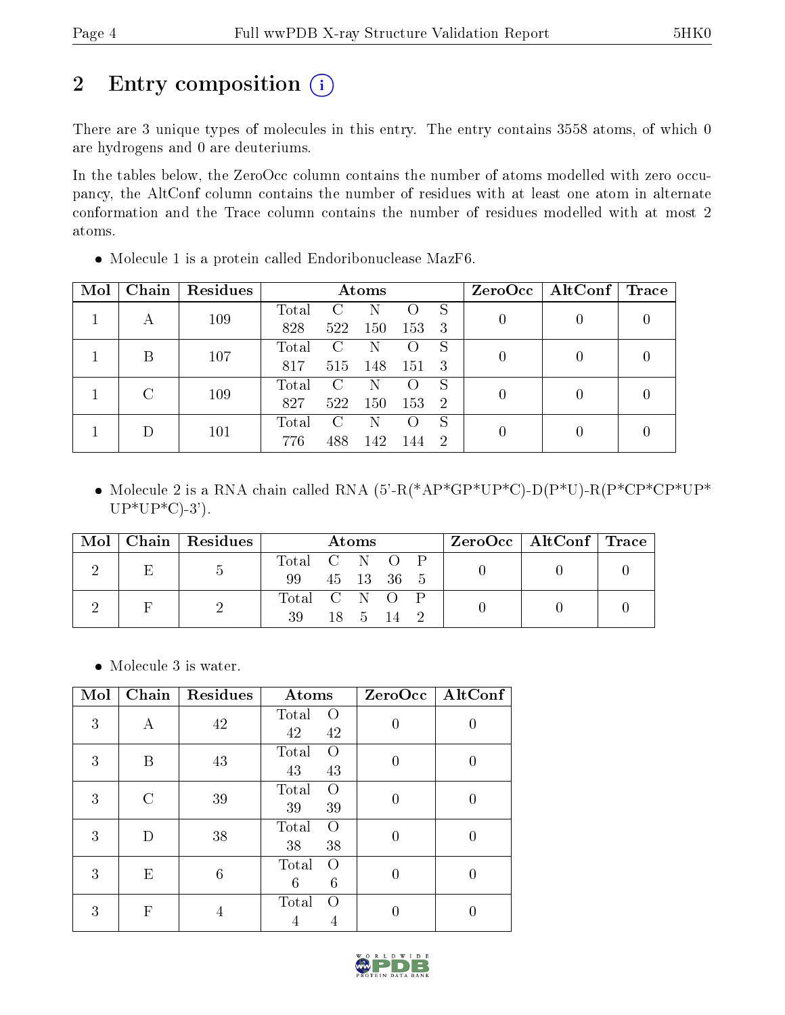# 2 Entry composition (i)

There are 3 unique types of molecules in this entry. The entry contains 3558 atoms, of which 0 are hydrogens and 0 are deuteriums.

In the tables below, the ZeroOcc column contains the number of atoms modelled with zero occupancy, the AltConf column contains the number of residues with at least one atom in alternate conformation and the Trace column contains the number of residues modelled with at most 2 atoms.

| Mol | Chain | Residues |       |     | Atoms |                    |                |  | $ZeroOcc \   \$ AltConf | $\operatorname{Trace}$ |
|-----|-------|----------|-------|-----|-------|--------------------|----------------|--|-------------------------|------------------------|
|     |       | 109      | Total |     |       | ( )                | S              |  |                         |                        |
|     |       |          | 828   | 522 | 150   | 153                | 3              |  |                         |                        |
|     | В     | 107      | Total | C   | N     | $\left( \ \right)$ | S              |  |                         |                        |
|     |       |          | 817   | 515 | 148   | 151                | 3              |  |                         |                        |
|     | C     | 109      | Total | C   | Ν     | $\left( \right)$   | S              |  |                         |                        |
|     |       |          | 827   | 522 | 150   | 153                | $\overline{2}$ |  |                         |                        |
|     |       | 101      | Total | C   | N     | $\left( \right)$   | S              |  |                         |                        |
|     |       |          | 776   | 488 | 142   | 144                | -2             |  |                         |                        |

Molecule 1 is a protein called Endoribonuclease MazF6.

• Molecule 2 is a RNA chain called RNA  $(5-R(*AP*GP*UP*C)-D(P*U)-R(P*CP*CP*UP*$  $UP*UP*C$ -3').

| Mol |   | Chain   Residues | Atoms         |  |  | ZeroOcc   AltConf   Trace |  |  |  |
|-----|---|------------------|---------------|--|--|---------------------------|--|--|--|
|     | Е |                  | Total C N O P |  |  |                           |  |  |  |
|     |   | $\mathfrak{d}$   | 99            |  |  | 45 13 36 5                |  |  |  |
|     |   |                  | Total C N O P |  |  |                           |  |  |  |
|     |   |                  | 39            |  |  | 18 5 14 2                 |  |  |  |

• Molecule 3 is water.

| Mol | Chain             | Residues       | Atoms                          |          | ZeroOcc   AltConf |
|-----|-------------------|----------------|--------------------------------|----------|-------------------|
| 3   | А                 | 42             | Total<br>$\Omega$<br>42<br>42  | 0        | O                 |
| 3   | В                 | 43             | Total<br>$\Omega$<br>43<br>43  | 0        |                   |
| 3   | $\mathcal{C}_{1}$ | 39             | Total<br>$\Omega$<br>39<br>39  | 0        |                   |
| 3   | D                 | 38             | Total<br>$\Omega$<br>38<br>38  | $\Omega$ | O                 |
| 3   | E                 | $\overline{6}$ | Total<br>$\Omega$<br>6<br>6    |          | 0                 |
| 3   | F                 | 4              | Total<br>$\left( \right)$<br>4 |          |                   |

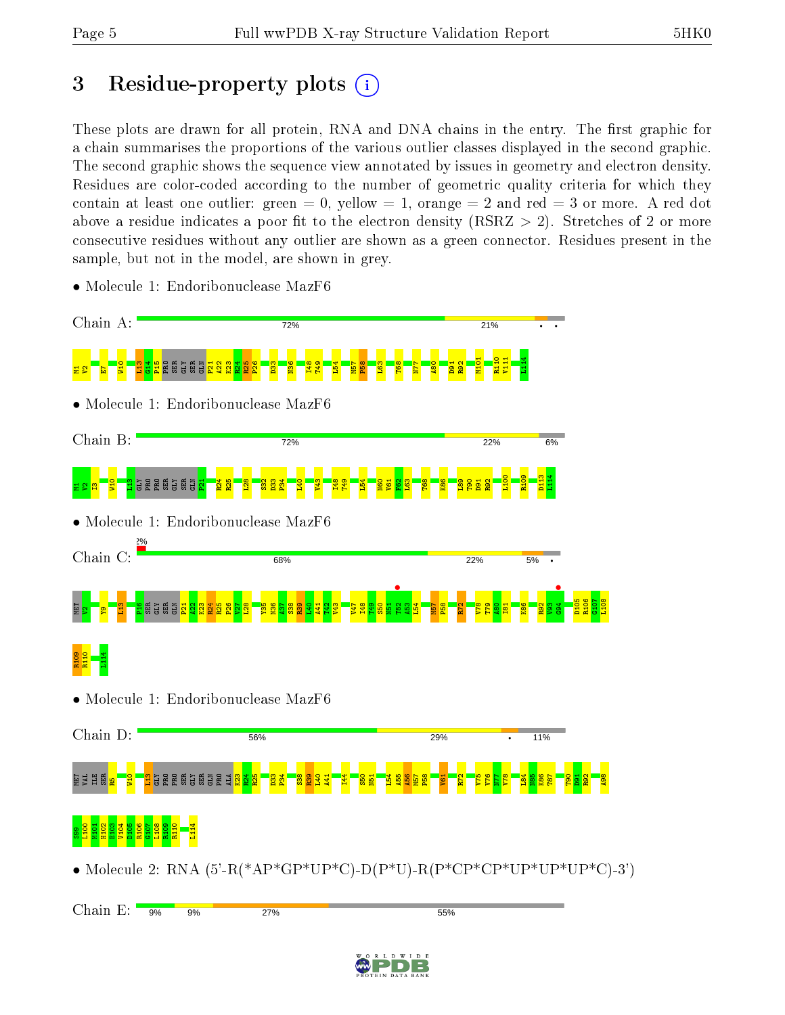# 3 Residue-property plots  $(i)$

These plots are drawn for all protein, RNA and DNA chains in the entry. The first graphic for a chain summarises the proportions of the various outlier classes displayed in the second graphic. The second graphic shows the sequence view annotated by issues in geometry and electron density. Residues are color-coded according to the number of geometric quality criteria for which they contain at least one outlier: green  $= 0$ , yellow  $= 1$ , orange  $= 2$  and red  $= 3$  or more. A red dot above a residue indicates a poor fit to the electron density (RSRZ  $> 2$ ). Stretches of 2 or more consecutive residues without any outlier are shown as a green connector. Residues present in the sample, but not in the model, are shown in grey.



• Molecule 1: Endoribonuclease MazF6

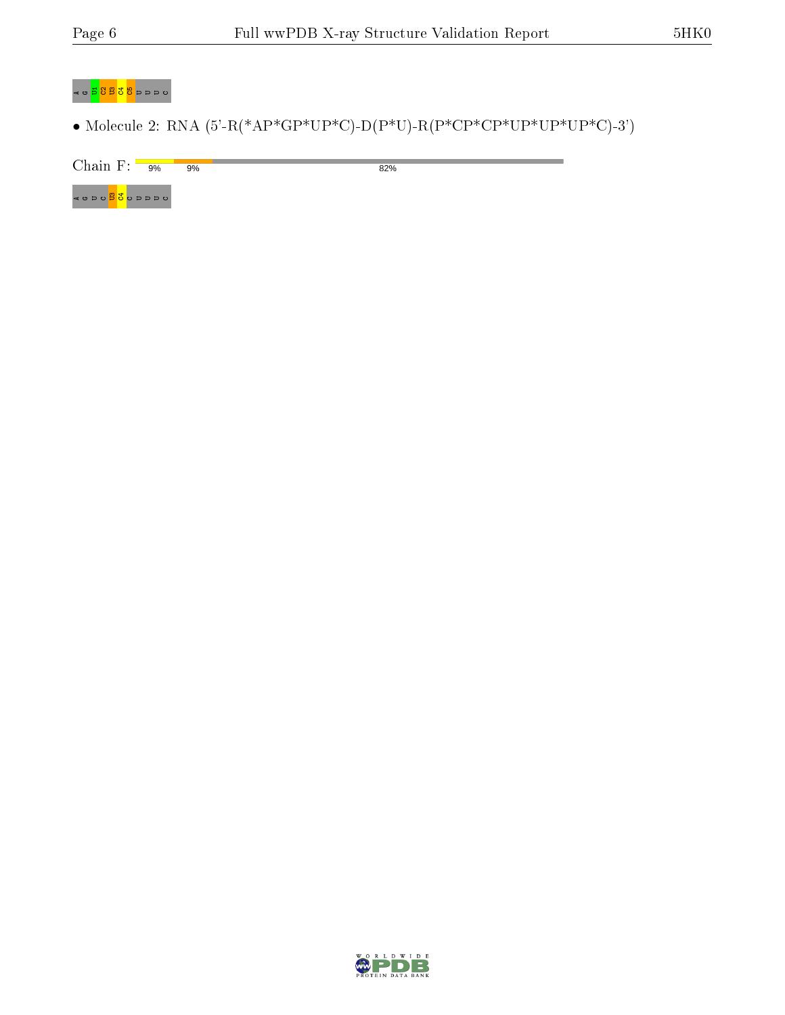82%

#### ⊲ ⊍<mark>5 පීපී පී</mark> ⊳ ⊳ ⊳ ∪

• Molecule 2: RNA  $(5'-R(*AP*GP*UP*C)-D(P*U)-R(P*CP*CP*UP*UP*UP*C)-3')$ 

Chain F:  $9\%$  $9%$ 

⊲ 。っっ<mark>っぷ</mark>。。

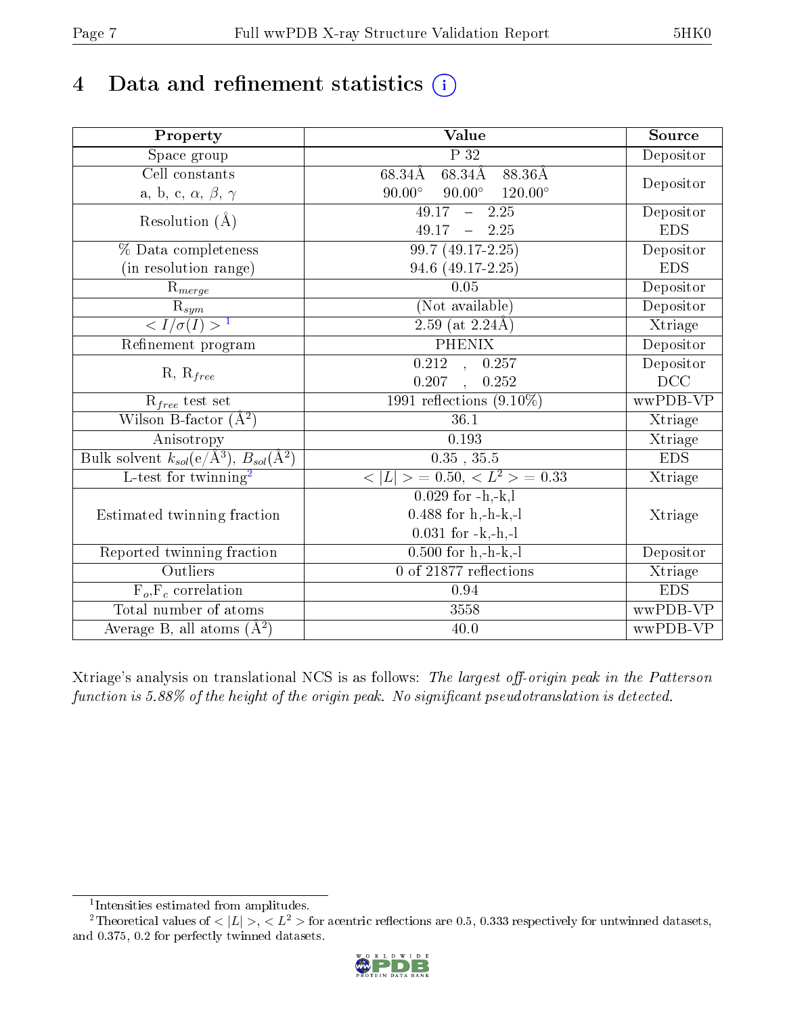# 4 Data and refinement statistics  $(i)$

| Property                                                             | Value                                              | Source                       |
|----------------------------------------------------------------------|----------------------------------------------------|------------------------------|
| $\overline{\text{Space}}$ group                                      | $\overline{P}32$                                   | Depositor                    |
| Cell constants                                                       | $68.34\AA$ $68.34\AA$ $88.36\AA$                   |                              |
| a, b, c, $\alpha$ , $\beta$ , $\gamma$                               | $90.00^\circ$<br>$90.00^\circ$<br>$120.00^{\circ}$ | Depositor                    |
| Resolution $(\AA)$                                                   | $49.17 - 2.25$                                     | Depositor                    |
|                                                                      | $49.17 - 2.25$                                     | <b>EDS</b>                   |
| % Data completeness                                                  | $99.7(49.17-2.25)$                                 | Depositor                    |
| (in resolution range)                                                | 94.6 (49.17-2.25)                                  | <b>EDS</b>                   |
| $R_{merge}$                                                          | 0.05                                               | Depositor                    |
|                                                                      | (Not available)                                    | Depositor                    |
| $\frac{R_{sym}}{{}< I/\sigma(I)>1}$                                  | $\overline{2.59}$ (at 2.24Å)                       | Xtriage                      |
| Refinement program                                                   | <b>PHENIX</b>                                      | Depositor                    |
|                                                                      | $\overline{0.212}$ , 0.257                         | Depositor                    |
| $R, R_{free}$                                                        | 0.207<br>0.252<br>$\mathcal{L}_{\mathcal{A}}$      | DCC                          |
| $\mathcal{R}_{free}$ test set                                        | 1991 reflections $(9.10\%)$                        | wwPDB-VP                     |
| Wilson B-factor $(A^2)$                                              | 36.1                                               | Xtriage                      |
| Anisotropy                                                           | $\overline{0.1}93$                                 | Xtriage                      |
| Bulk solvent $k_{sol}(e/\mathring{A}^3)$ , $B_{sol}(\mathring{A}^2)$ | $0.35$ , $35.5$                                    | <b>EDS</b>                   |
| L-test for $\text{twinning}^2$                                       | $< L >$ = 0.50, $< L^2 >$ = 0.33                   | Xtriage                      |
|                                                                      | $0.029$ for $-h,-k,l$                              |                              |
| Estimated twinning fraction                                          | $0.488$ for h,-h-k,-l                              | Xtriage                      |
|                                                                      | $0.031$ for $-k,-h,-l$                             |                              |
| Reported twinning fraction                                           | $0.500$ for $h,-h-k,-l$                            | Depositor                    |
| Outliers                                                             | 0 of 21877 reflections                             | $\overline{\text{X}}$ triage |
| $F_o, F_c$ correlation                                               | 0.94                                               | <b>EDS</b>                   |
| Total number of atoms                                                | 3558                                               | wwPDB-VP                     |
| Average B, all atoms $(A^2)$                                         | 40.0                                               | wwPDB-VP                     |

Xtriage's analysis on translational NCS is as follows: The largest off-origin peak in the Patterson function is  $5.88\%$  of the height of the origin peak. No significant pseudotranslation is detected.

<sup>&</sup>lt;sup>2</sup>Theoretical values of  $\langle |L| \rangle$ ,  $\langle L^2 \rangle$  for acentric reflections are 0.5, 0.333 respectively for untwinned datasets, and 0.375, 0.2 for perfectly twinned datasets.



<span id="page-6-1"></span><span id="page-6-0"></span><sup>1</sup> Intensities estimated from amplitudes.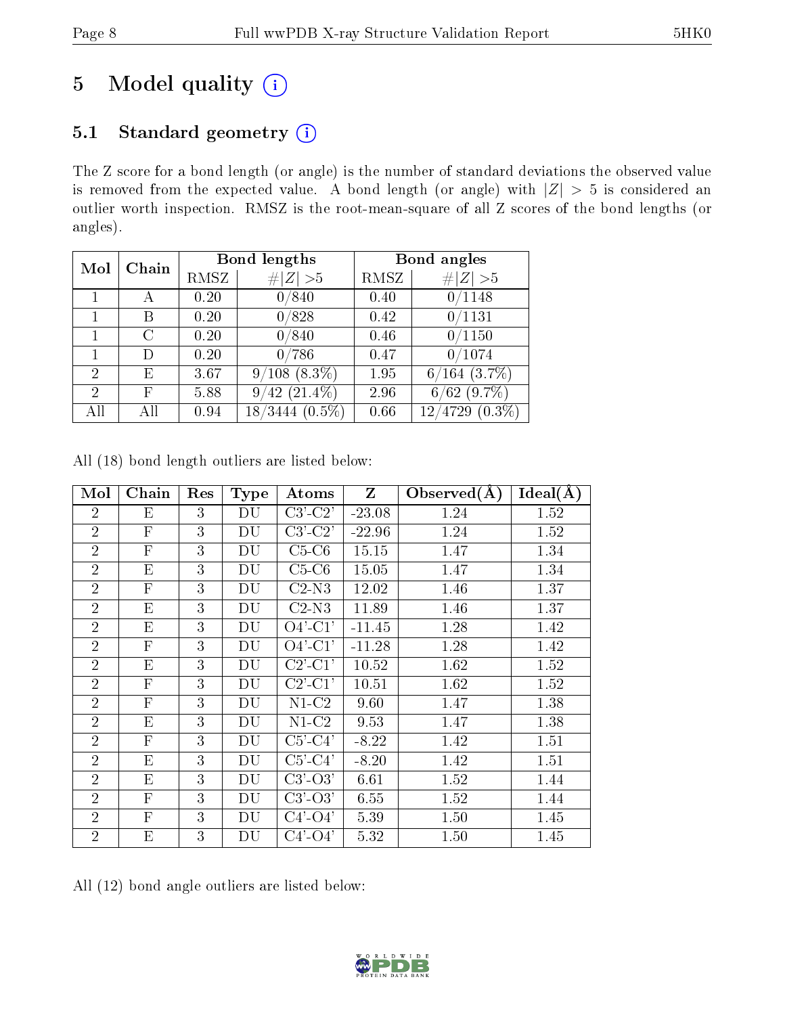# 5 Model quality  $(i)$

# 5.1 Standard geometry (i)

The Z score for a bond length (or angle) is the number of standard deviations the observed value is removed from the expected value. A bond length (or angle) with  $|Z| > 5$  is considered an outlier worth inspection. RMSZ is the root-mean-square of all Z scores of the bond lengths (or angles).

| Mol            | Chain |      | <b>Bond lengths</b>                | Bond angles |                      |  |
|----------------|-------|------|------------------------------------|-------------|----------------------|--|
|                |       | RMSZ | Z  > 5<br>$\#$                     | RMSZ        | # $ Z  > 5$          |  |
|                |       | 0.20 | 0/840                              | 0.40        | 0/1148               |  |
| 1              | В     | 0.20 | 0/828                              | 0.42        | 0/1131               |  |
| 1              | С     | 0.20 | 0/840                              | 0.46        | 0/1150               |  |
|                | Ð     | 0.20 | $^\prime 786$<br>$0\,$             | 0.47        | 0/1074               |  |
| $\overline{2}$ | Е     | 3.67 | $9/108$ $(8.3\%)$                  | 1.95        | $6/164$ $(3.7\%)$    |  |
| $\overline{2}$ | F     | 5.88 | $(21.4\%)$<br>42<br>9 <sub>1</sub> | 2.96        | $(9.7\%)$<br>6/62    |  |
|                | ΑH    | 0.94 | $(0.5\%)$<br>18/3444               | 0.66        | $(0.3\%)$<br>12/4729 |  |

| Mol            | Chain                     | Res | <b>Type</b> | $\boldsymbol{\mathrm{Atoms}}$         | Z        | Observed $(A)$ | Ideal(A) |
|----------------|---------------------------|-----|-------------|---------------------------------------|----------|----------------|----------|
| $\overline{2}$ | Ε                         | 3   | DU          | $C3$ ' $C2$ '                         | $-23.08$ | 1.24           | 1.52     |
| $\overline{2}$ | $\mathbf{F}$              | 3   | DU          | $C3$ ' $-C2$ '                        | $-22.96$ | 1.24           | 1.52     |
| $\overline{2}$ | $\boldsymbol{\mathrm{F}}$ | 3   | DU          | $C5-C6$                               | 15.15    | 1.47           | 1.34     |
| $\overline{2}$ | E                         | 3   | DU          | $C5-C6$                               | 15.05    | 1.47           | 1.34     |
| $\overline{2}$ | $\mathbf{F}$              | 3   | DU          | $C2-N3$                               | 12.02    | 1.46           | 1.37     |
| $\overline{2}$ | E                         | 3   | DU          | $C2-N3$                               | 11.89    | 1.46           | 1.37     |
| $\overline{2}$ | E                         | 3   | DU          | $O4'$ -C1'                            | $-11.45$ | 1.28           | 1.42     |
| $\overline{2}$ | $\boldsymbol{\mathrm{F}}$ | 3   | DU          | $O4'$ -C1'                            | $-11.28$ | 1.28           | 1.42     |
| $\overline{2}$ | E                         | 3   | DU          | $C2'$ - $C1'$                         | 10.52    | 1.62           | 1.52     |
| $\overline{2}$ | $\overline{F}$            | 3   | DU          | $C2'$ - $C1'$                         | 10.51    | 1.62           | 1.52     |
| $\overline{2}$ | $\overline{F}$            | 3   | DU          | $N1-C2$                               | 9.60     | 1.47           | 1.38     |
| $\overline{2}$ | E                         | 3   | DU          | $N1-C2$                               | 9.53     | 1.47           | 1.38     |
| $\overline{2}$ | $\boldsymbol{\mathrm{F}}$ | 3   | DU          | $C5$ <sup>'</sup> - $C4$ <sup>'</sup> | $-8.22$  | 1.42           | 1.51     |
| $\overline{2}$ | E                         | 3   | DU          | $C5'$ - $C4'$                         | $-8.20$  | 1.42           | 1.51     |
| $\overline{2}$ | E                         | 3   | DU          | $C3'-O3'$                             | 6.61     | 1.52           | 1.44     |
| $\overline{2}$ | F                         | 3   | DU          | $C3'-O3'$                             | 6.55     | 1.52           | 1.44     |
| $\overline{2}$ | $\overline{F}$            | 3   | DU          | $C4'-O4'$                             | 5.39     | 1.50           | 1.45     |
| $\overline{2}$ | E                         | 3   | DU          | $C4'$ - $O4'$                         | 5.32     | 1.50           | 1.45     |

All (18) bond length outliers are listed below:

All (12) bond angle outliers are listed below:

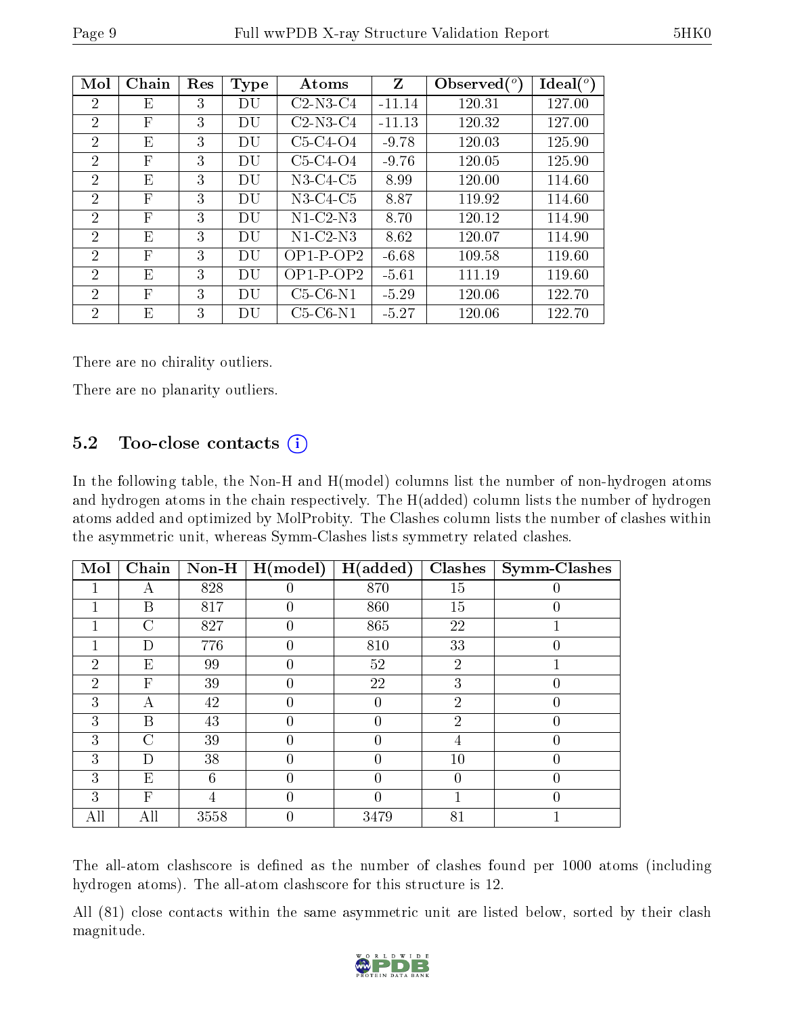|--|

| Mol            | Chain        | Res | <b>Type</b> | Atoms      | Z        | Observed $\binom{o}{c}$ | Ideal (°) |
|----------------|--------------|-----|-------------|------------|----------|-------------------------|-----------|
| $\overline{2}$ | Е            | 3   | DU          | $C2-N3-C4$ | $-11.14$ | 120.31                  | 127.00    |
| $\overline{2}$ | F            | 3   | DU          | $C2-N3-C4$ | $-11.13$ | 120.32                  | 127.00    |
| $\overline{2}$ | E            | 3   | DU          | $C5-C4-O4$ | $-9.78$  | 120.03                  | 125.90    |
| 2              | F            | 3   | DU          | $C5-C4-O4$ | $-9.76$  | 120.05                  | 125.90    |
| 2              | Ε            | 3   | DU          | $N3-C4-C5$ | 8.99     | 120.00                  | 114.60    |
| $\overline{2}$ | $\mathbf{F}$ | 3   | DU          | $N3-C4-C5$ | 8.87     | 119.92                  | 114.60    |
| 2              | F            | 3   | DU          | N1-C2-N3   | 8.70     | 120.12                  | 114.90    |
| $\overline{2}$ | Е            | 3   | DU          | $N1-C2-N3$ | 8.62     | 120.07                  | 114.90    |
| 2              | $\mathbf{F}$ | 3   | DU          | $OP1-POP2$ | $-6.68$  | 109.58                  | 119.60    |
| $\overline{2}$ | Ε            | 3   | DU          | $OP1-POP2$ | $-5.61$  | 111.19                  | 119.60    |
| 2              | F            | 3   | DU          | $C5-C6-N1$ | $-5.29$  | 120.06                  | 122.70    |
| $\overline{2}$ | E            | 3   | DU          | $C5-C6-N1$ | $-5.27$  | 120.06                  | 122.70    |

There are no chirality outliers.

There are no planarity outliers.

### 5.2 Too-close contacts (i)

In the following table, the Non-H and H(model) columns list the number of non-hydrogen atoms and hydrogen atoms in the chain respectively. The H(added) column lists the number of hydrogen atoms added and optimized by MolProbity. The Clashes column lists the number of clashes within the asymmetric unit, whereas Symm-Clashes lists symmetry related clashes.

| Mol            | Chain                     | Non-H | H (model)        | H(added) | <b>Clashes</b>   | <b>Symm-Clashes</b> |
|----------------|---------------------------|-------|------------------|----------|------------------|---------------------|
|                | А                         | 828   | $\left( \right)$ | 870      | 15               |                     |
|                | Β                         | 817   | $\theta$         | 860      | 15               | 0                   |
|                | C                         | 827   | $\left( \right)$ | 865      | 22               |                     |
|                | D                         | 776   | $\theta$         | 810      | 33               | 0                   |
| $\overline{2}$ | E                         | 99    | $\theta$         | 52       | $\overline{2}$   |                     |
| $\overline{2}$ | $\boldsymbol{\mathrm{F}}$ | 39    | $\left( \right)$ | 22       | 3                |                     |
| 3              | А                         | 42    | $\theta$         | 0        | $\overline{2}$   | 0                   |
| 3              | B                         | 43    | $\theta$         | 0        | $\overline{2}$   | 0                   |
| 3              | $\mathcal{C}$             | 39    | $\left( \right)$ |          |                  |                     |
| 3              | D                         | 38    | $\theta$         | 0        | 10               | 0                   |
| 3              | E                         | 6     | 0                | 0        | $\left( \right)$ | 0                   |
| 3              | $\mathbf{F}$              |       | $\theta$         |          |                  |                     |
|                | All                       | 3558  | 0                | 3479     | 81               |                     |

The all-atom clashscore is defined as the number of clashes found per 1000 atoms (including hydrogen atoms). The all-atom clashscore for this structure is 12.

All (81) close contacts within the same asymmetric unit are listed below, sorted by their clash magnitude.

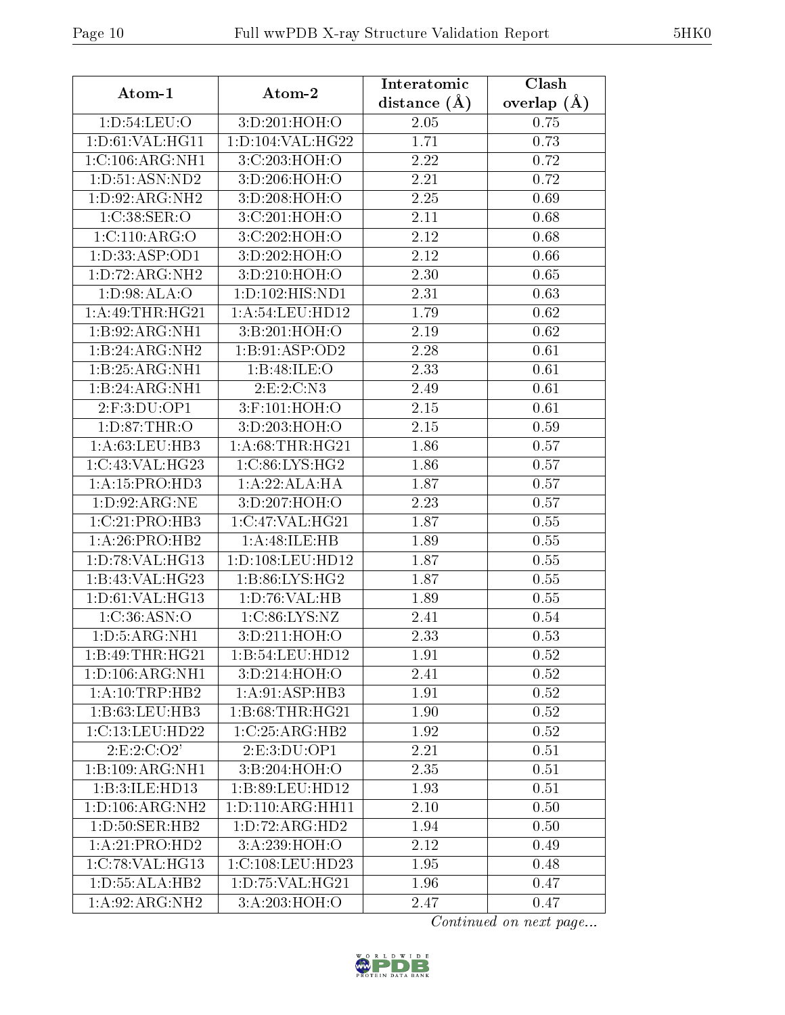| Atom-1                           | Atom-2                     | Interatomic    | Clash                  |
|----------------------------------|----------------------------|----------------|------------------------|
|                                  |                            | distance $(A)$ | overlap $(A)$          |
| 1: D:54: LEU:O                   | 3:D:201:HOH:O              | 2.05           | 0.75                   |
| 1: D:61: VAL:HGI1                | 1:D:104:VAL:HG22           | 1.71           | 0.73                   |
| 1:C:106:ARG:NH1                  | 3:C:203:HOH:O              | 2.22           | 0.72                   |
| 1: D: 51: ASN: ND2               | 3:D:206:HOH:O              | 2.21           | 0.72                   |
| 1: D: 92: ARG: NH2               | 3:D:208:HOH:O              | 2.25           | 0.69                   |
| 1:C:38:SER:O                     | 3:C:201:HOH:O              | 2.11           | 0.68                   |
| 1: C: 110: ARG: O                | 3:C:202:HOH:O              | 2.12           | 0.68                   |
| 1:D:33:ASP:OD1                   | 3:D:202:HOH:O              | 2.12           | 0.66                   |
| 1: D: 72: ARG: NH2               | 3:D:210:HOH:O              | 2.30           | 0.65                   |
| 1:D:98:ALA:O                     | 1:D:102:HIS:ND1            | 2.31           | 0.63                   |
| 1:A:49:THR:HG21                  | 1: A:54:LEU:HD12           | 1.79           | 0.62                   |
| 1:B:92:ARG:NH1                   | 3:B:201:HOH:O              | 2.19           | 0.62                   |
| $1:B:24:ARG:\overline{NH2}$      | 1:B:91:ASP:OD2             | 2.28           | 0.61                   |
| 1:B:25:ARG:NH1                   | 1:B:48:ILE:O               | 2.33           | 0.61                   |
| 1:B:24:ARG:NH1                   | 2:E:2:C:N3                 | 2.49           | 0.61                   |
| 2:F:3:DU:OP1                     | 3:F:101:HOH:O              | 2.15           | 0.61                   |
| 1: D:87:THR:O                    | 3: D:203:HOH:O             | 2.15           | 0.59                   |
| 1: A:63:LEU:HB3                  | 1: A:68:THR:HG21           | 1.86           | 0.57                   |
| 1:C:43:VAL:HG23                  | 1:C:86:LYS:HG2             | 1.86           | 0.57                   |
| 1: A: 15: PRO: HD3               | 1:A:22:ALA:HA              | 1.87           | 0.57                   |
| 1: D:92: ARG:NE                  | 3:D:207:HOH:O              | 2.23           | 0.57                   |
| 1:C:21:PRO:HB3                   | 1:C:47:VAL:HG21            | 1.87           | 0.55                   |
| $1:A:26:P\overline{RO:H}B2$      | 1:A:48:ILE:HB              | 1.89           | 0.55                   |
| 1: D: 78: VAL:HG13               | 1: D: 108: LEU: HD12       | 1.87           | 0.55                   |
| 1:B:43:VAL:HG23                  | 1:B:86:LYS:HG2             | 1.87           | 0.55                   |
| 1: D:61: VAL:HG13                | 1: D:76: VAL:HB            | 1.89           | 0.55                   |
| 1:C:36:ASN:O                     | 1:C:86:LYS:NZ              | 2.41           | 0.54                   |
| 1: D: 5: ARG: NH1                | 3: D: 211: HOH:O           | 2.33           | 0.53                   |
| 1:B:49:THR:HG21                  | 1:B:54:LEU:HD12            | 1.91           | 0.52                   |
| 1: D: 106: ARG: NH1              | 3:D:214:HOH:O              | 2.41           | 0.52                   |
| 1:A:10:TRP:HB2                   | 1:A:91:ASP:HB3             | 1.91           | 0.52                   |
| 1:B:63:LEU:HB3                   | 1: B:68:THR:HG21           | 1.90           | 0.52                   |
| 1:C:13:LEU:HD22                  | 1:C:25:ARG:HB2             | 1.92           | 0.52                   |
| 2: E: 2: C: O2'                  | 2:E:3:DU:OP1               | 2.21           | 0.51                   |
| 1:B:109:ARG:NH1                  | 3:B:204:HOH:O              | 2.35           | 0.51                   |
| 1:B:3:ILE:HD13                   | 1:B:89:LEU:HD12            | 1.93           | 0.51                   |
| $1: D: 106: ARG: \overline{NH2}$ | 1:D:110:ARG:HH11           | 2.10           | 0.50                   |
| 1: D: 50: SER: HB2               | 1: D: 72: ARG: HD2         | 1.94           | 0.50                   |
| 1:A:21:PRO:HD2                   | $3:A:239:\overline{HOH:O}$ | 2.12           | 0.49                   |
| 1:C:78:VAL:HG13                  | 1:C:108:LEU:HD23           | 1.95           | 0.48                   |
| 1: D: 55: ALA: HB2               | 1: D: 75: VAL:HG21         | 1.96           | 0.47                   |
| 1:A:92:ARG:NH2                   | 3:A:203:HOH:O              | 2.47           | 0.47                   |
|                                  |                            |                | Continued on next page |

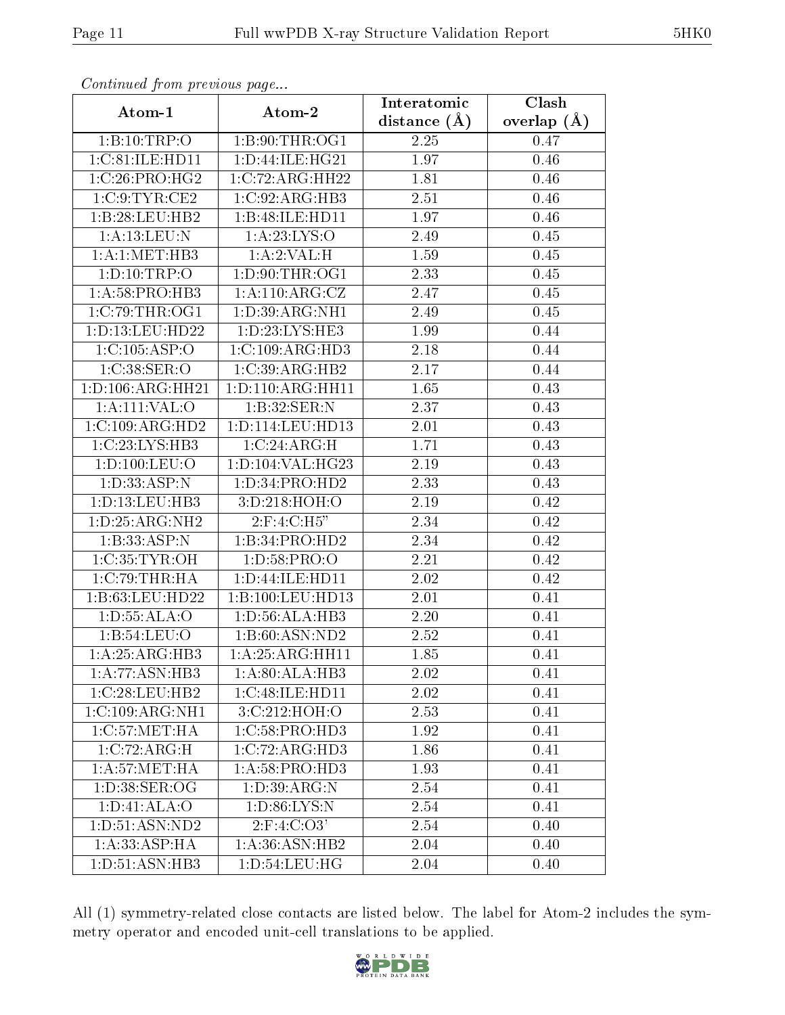| Communa from previous page   |                             | Interatomic      | Clash           |
|------------------------------|-----------------------------|------------------|-----------------|
| Atom-1                       | Atom-2                      | distance $(\AA)$ | overlap $(\AA)$ |
| 1:B:10:TRP:O                 | 1:B:90:THR:OG1              | 2.25             | 0.47            |
| 1:C:81:ILE:HD11              | 1:D:44:ILE:HG21             | 1.97             | 0.46            |
| 1:C:26:PRO:HG2               | 1:C:72:ARG:HH22             | 1.81             | 0.46            |
| 1:C:9:TYR:CE2                | 1:C:92:ARG:HB3              | 2.51             | 0.46            |
| 1:B:28:LEU:HB2               | 1:B:48:ILE:HD11             | 1.97             | 0.46            |
| 1:A:13:LEU:N                 | 1: A:23: LYS:O              | 2.49             | 0.45            |
| 1: A:1: MET:HB3              | 1: A:2: VAL:H               | 1.59             | 0.45            |
| 1: D: 10: TRP:O              | 1: D: 90: THR: OG1          | 2.33             | 0.45            |
| 1:A:58:PRO:HB3               | 1:A:110:ARG:CZ              | 2.47             | 0.45            |
| 1:C:79:THR:OG1               | 1:D:39:ARG:NH1              | 2.49             | 0.45            |
| 1: D: 13: LEU: HD22          | 1: D: 23: LYS: HE3          | 1.99             | 0.44            |
| 1:C:105:ASP:O                | 1:C:109:ARG:HD3             | 2.18             | 0.44            |
| 1:C:38:SER:O                 | 1:C:39:ARG:HB2              | 2.17             | 0.44            |
| 1: D: 106: ARG: HH21         | 1: D: 110: ARG: HH11        | 1.65             | 0.43            |
| 1:A:111:VAL:O                | 1:B:32:SER:N                | 2.37             | 0.43            |
| 1:C:109:ARG:HD2              | 1: D: 114: LEU: HD13        | 2.01             | 0.43            |
| 1:C:23:LYS:HB3               | 1:C:24:ARG:H                | 1.71             | 0.43            |
| 1:D:100:LEU:O                | 1:D:104:VAL:HG23            | 2.19             | 0.43            |
| 1:D:33:ASP:N                 | 1:D:34:PRO:HD2              | 2.33             | 0.43            |
| 1: D: 13: LEU: HB3           | 3:D:218:HOH:O               | 2.19             | 0.42            |
| 1: D: 25: ARG: NH2           | $2:$ F:4:C:H5"              | 2.34             | 0.42            |
| 1:B:33:ASP:N                 | 1:B:34:PRO:HD2              | 2.34             | 0.42            |
| 1:C:35:TYR:OH                | 1: D:58: PRO:O              | 2.21             | 0.42            |
| 1:C:79:THR:HA                | 1:D:44:ILE:HD11             | 2.02             | 0.42            |
| 1:B:63:LEU:HD22              | 1:B:100:LEU:HD13            | 2.01             | 0.41            |
| 1: D: 55: ALA: O             | 1:D:56:ALA:HB3              | 2.20             | 0.41            |
| 1: B:54:LEU:O                | 1:B:60:ASN:ND2              | 2.52             | 0.41            |
| 1:A:25:ARG:HB3               | 1:A:25:ARG:HH11             | 1.85             | 0.41            |
| 1:A:77:ASN:HB3               | $1:A:80:ALA:\overline{HB3}$ | 2.02             | 0.41            |
| 1:C:28:LEU:HB2               | 1:C:48:ILE:HD11             | 2.02             | 0.41            |
| $1:C:109:A\overline{RG:NH1}$ | 3:C:212:HOH:O               | 2.53             | 0.41            |
| 1:C:57:MET:HA                | 1:C:58:PRO:HD3              | 1.92             | 0.41            |
| 1:C:72:ARG:H                 | 1:C:72:ARG:HD3              | 1.86             | 0.41            |
| 1: A:57: MET:HA              | 1:A:58:PRO:HD3              | 1.93             | 0.41            |
| 1: D: 38: SER: OG            | 1: D: 39: ARG: N            | 2.54             | 0.41            |
| 1: D: 41: ALA: O             | 1: D:86: LYS: N             | 2.54             | 0.41            |
| 1: D:51: ASN: ND2            | $2:$ F:4:C:O3'              | 2.54             | 0.40            |
| 1: A: 33: ASP: HA            | 1:A:36:ASN:HB2              | 2.04             | 0.40            |
| 1:D:51:ASN:HB3               | 1: D:54: LEU: HG            | 2.04             | 0.40            |

Continued from previous page...

All (1) symmetry-related close contacts are listed below. The label for Atom-2 includes the symmetry operator and encoded unit-cell translations to be applied.

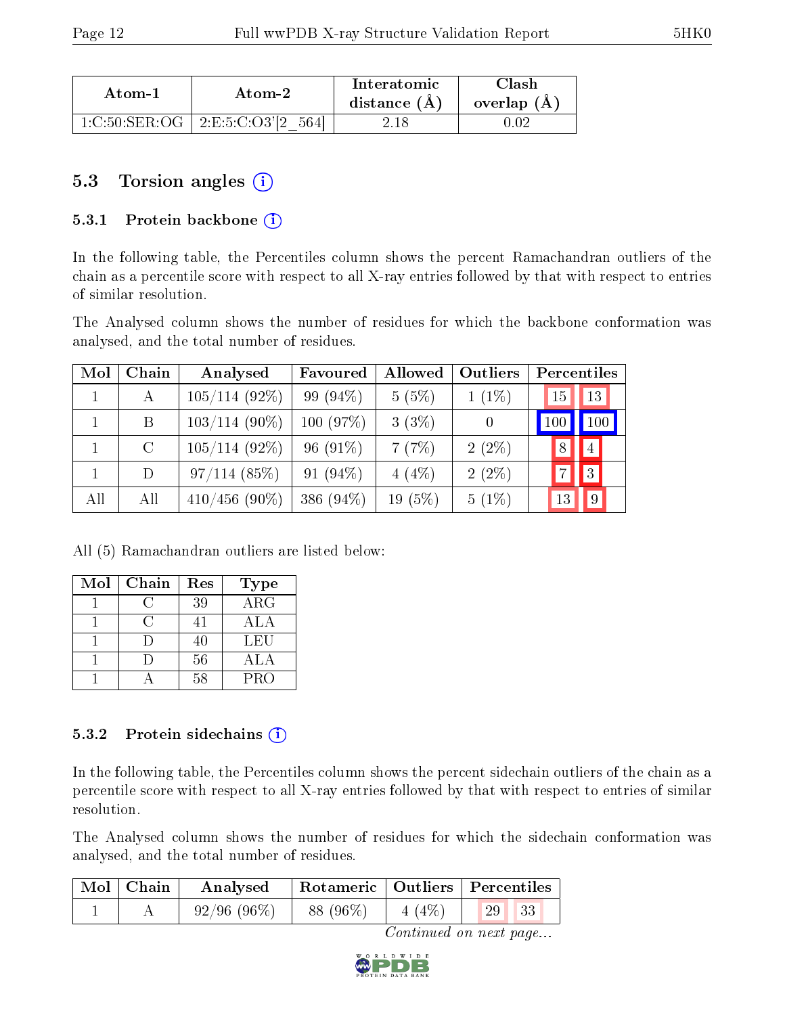| Atom-1 | Atom-2                                 | Interatomic<br>distance $(A)$ | Clash<br>overlap $(A)$ |
|--------|----------------------------------------|-------------------------------|------------------------|
|        | $1:C:50:SER:OG$   $2:E:5:C:O3'[2 564]$ | 2 18                          | .).02                  |

### 5.3 Torsion angles (i)

#### 5.3.1 Protein backbone  $(i)$

In the following table, the Percentiles column shows the percent Ramachandran outliers of the chain as a percentile score with respect to all X-ray entries followed by that with respect to entries of similar resolution.

The Analysed column shows the number of residues for which the backbone conformation was analysed, and the total number of residues.

| Mol | ${\bf Chain}$ | Analysed        | Favoured    | Allowed   | Outliers       |                | Percentiles    |
|-----|---------------|-----------------|-------------|-----------|----------------|----------------|----------------|
|     | А             | $105/114(92\%)$ | 99 (94\%)   | 5(5%)     | $1(1\%)$       | 15             | 13             |
|     | B             | $103/114(90\%)$ | 100 (97%)   | 3(3%)     | $\overline{0}$ | 100            | 100            |
|     | $\rm C$       | $105/114(92\%)$ | 96 $(91\%)$ | 7(7%)     | $2(2\%)$       | 8              | $\overline{4}$ |
|     | D             | 97/114(85%)     | 91 $(94\%)$ | 4(4%)     | $2(2\%)$       | $\overline{ }$ | 3              |
| All | All           | $410/456$ (90%) | 386 (94%)   | $19(5\%)$ | $5(1\%)$       | 13             | 9              |

All (5) Ramachandran outliers are listed below:

| Mol | Chain | Res | <b>Type</b> |
|-----|-------|-----|-------------|
|     |       | 39  | ARG         |
|     |       | 41  | ALA         |
|     |       | 40  | LEU         |
|     |       | 56  | ALA         |
|     |       | .58 | <b>PRO</b>  |

#### 5.3.2 Protein sidechains  $(i)$

In the following table, the Percentiles column shows the percent sidechain outliers of the chain as a percentile score with respect to all X-ray entries followed by that with respect to entries of similar resolution.

The Analysed column shows the number of residues for which the sidechain conformation was analysed, and the total number of residues.

| $\operatorname{Mol}$ | Chain | Analysed      |           |                    | Rotameric   Outliers   Percentiles |
|----------------------|-------|---------------|-----------|--------------------|------------------------------------|
|                      |       | $92/96(96\%)$ | 88 (96\%) | $\vert 4 \, (4\%)$ | $\sqrt{29}$<br> 33                 |

Continued on next page...

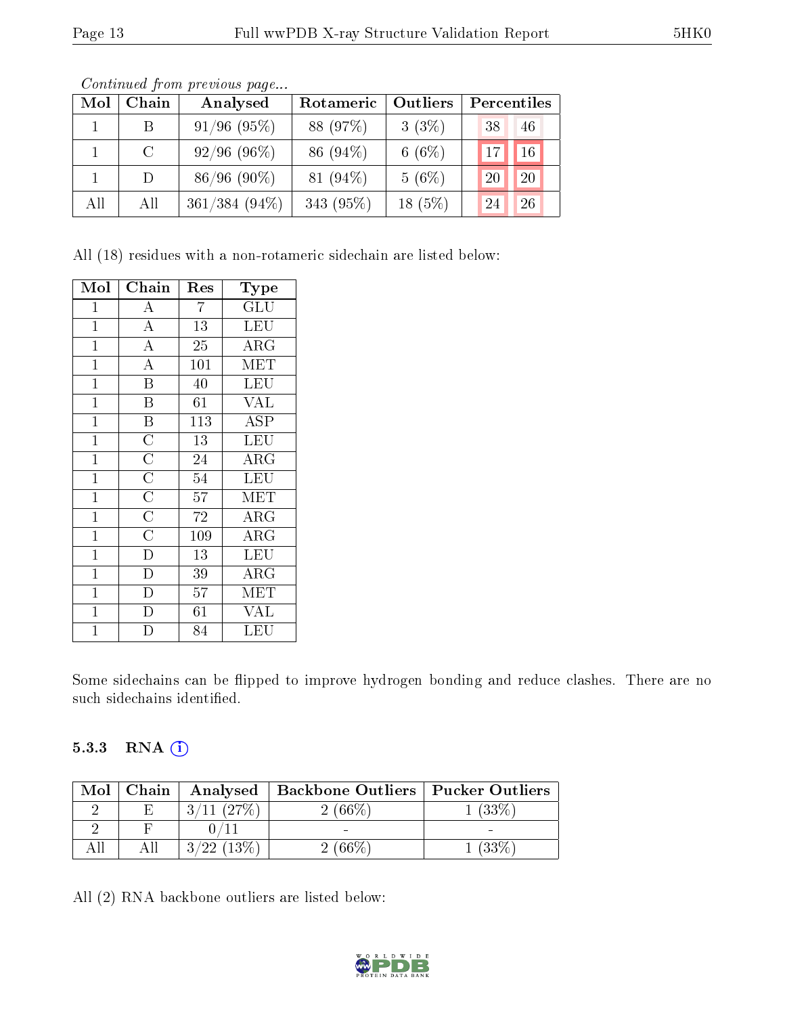| Mol | Chain         | Analysed         | Rotameric   | Outliers  | Percentiles |                |
|-----|---------------|------------------|-------------|-----------|-------------|----------------|
|     | -B            | $91/96$ $(95\%)$ | 88 (97%)    | $3(3\%)$  | 38          | 46             |
|     | $\mathcal{C}$ | $92/96(96\%)$    | 86 (94\%)   | $6(6\%)$  | 17          | $16^{\degree}$ |
|     | $\vert$       | $86/96(90\%)$    | 81 $(94\%)$ | 5(6%)     | 20          | 20             |
| All | All           | 361/384 (94%)    | 343 (95%)   | $18(5\%)$ | 24          | 26             |

Continued from previous page...

All (18) residues with a non-rotameric sidechain are listed below:

| Mol            | Chain                   | $\operatorname{Res}% \left( \mathcal{N}\right) \equiv\operatorname{Res}(\mathcal{N}_{0})\cap\mathcal{N}_{1}$ | Type                 |
|----------------|-------------------------|--------------------------------------------------------------------------------------------------------------|----------------------|
| 1              | А                       | 7                                                                                                            | $\operatorname{GLU}$ |
| $\mathbf 1$    | $\bf{A}$                | 13                                                                                                           | LEU                  |
| $\mathbf 1$    | $\overline{\rm A}$      | 25                                                                                                           | ${\rm ARG}$          |
| $\mathbf 1$    | $\overline{\rm A}$      | 101                                                                                                          | MET                  |
| $\mathbf 1$    | $\rm \overline{B}$      | 40                                                                                                           | LEU                  |
| $\mathbf 1$    | $\overline{\mathrm{B}}$ | 61                                                                                                           | <b>VAL</b>           |
| $\mathbf 1$    | $\overline{\mathbf{B}}$ | 113                                                                                                          | <b>ASP</b>           |
| $\mathbf 1$    | $\overline{\rm C}$      | 13                                                                                                           | LEU                  |
| $\mathbf 1$    | $\overline{\text{C}}$   | 24                                                                                                           | ${\rm ARG}$          |
| $\mathbf 1$    | $\overline{\text{C}}$   | 54                                                                                                           | <b>LEU</b>           |
| $\mathbf{1}$   | $\overline{\text{C}}$   | 57                                                                                                           | MET                  |
| $\mathbf 1$    | $\overline{\rm C}$      | 72                                                                                                           | $\rm{ARG}$           |
| $\mathbf{1}$   | $\overline{\rm C}$      | 109                                                                                                          | ${\rm ARG}$          |
| $\mathbf 1$    | $\overline{D}$          | 13                                                                                                           | <b>LEU</b>           |
| $\mathbf{1}$   | $\mathbf D$             | 39                                                                                                           | $\rm{ARG}$           |
| $\mathbf 1$    | D                       | 57                                                                                                           | MET                  |
| $\mathbf 1$    | D                       | 61                                                                                                           | <b>VAL</b>           |
| $\overline{1}$ | D                       | 84                                                                                                           | LEU                  |

Some sidechains can be flipped to improve hydrogen bonding and reduce clashes. There are no such sidechains identified.

#### 5.3.3 RNA (i)

| Mol | Chain |                          | Analysed   Backbone Outliers   Pucker Outliers |          |
|-----|-------|--------------------------|------------------------------------------------|----------|
|     | Н,    | $(27\%)$<br>ર            | $(66\%)$                                       | $(33\%)$ |
|     |       |                          |                                                | -        |
|     |       | $(13\%$<br>$\mathcal{R}$ | $166\%$                                        | $(33\%$  |

All (2) RNA backbone outliers are listed below:

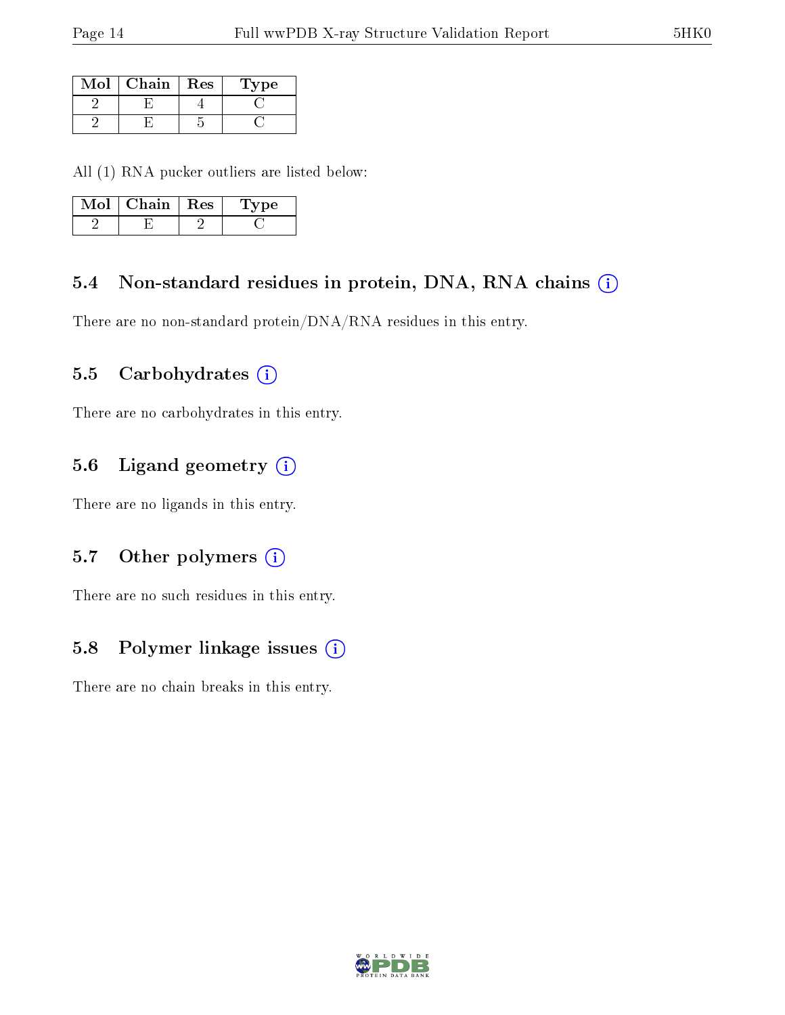| Mol | Chain | Res | Type |
|-----|-------|-----|------|
|     |       |     |      |
|     |       |     |      |

All (1) RNA pucker outliers are listed below:

| MoL | Chain | $\parallel$ Res | <b>Type</b> |
|-----|-------|-----------------|-------------|
|     |       |                 |             |

### 5.4 Non-standard residues in protein, DNA, RNA chains (i)

There are no non-standard protein/DNA/RNA residues in this entry.

### 5.5 Carbohydrates (i)

There are no carbohydrates in this entry.

## 5.6 Ligand geometry (i)

There are no ligands in this entry.

### 5.7 [O](https://www.wwpdb.org/validation/2017/XrayValidationReportHelp#nonstandard_residues_and_ligands)ther polymers (i)

There are no such residues in this entry.

### 5.8 Polymer linkage issues (i)

There are no chain breaks in this entry.

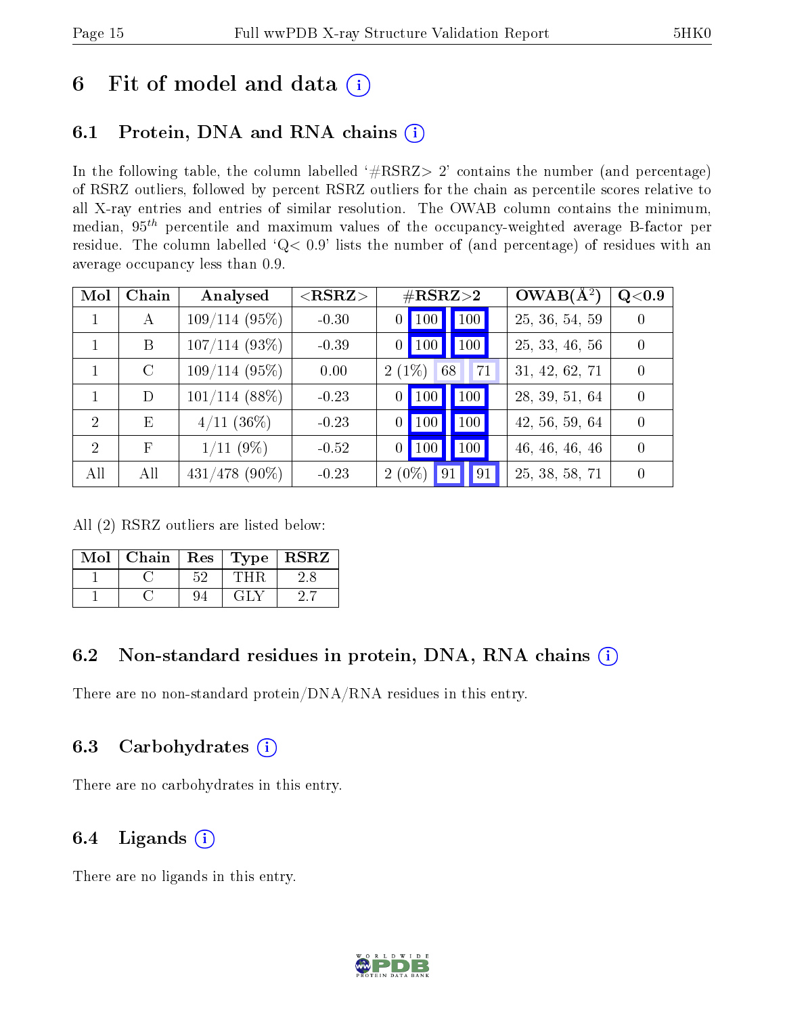# 6 Fit of model and data  $(i)$

# 6.1 Protein, DNA and RNA chains  $(i)$

In the following table, the column labelled  $#RSRZ> 2'$  contains the number (and percentage) of RSRZ outliers, followed by percent RSRZ outliers for the chain as percentile scores relative to all X-ray entries and entries of similar resolution. The OWAB column contains the minimum, median,  $95<sup>th</sup>$  percentile and maximum values of the occupancy-weighted average B-factor per residue. The column labelled ' $Q< 0.9$ ' lists the number of (and percentage) of residues with an average occupancy less than 0.9.

| Mol            | Chain        | Analysed         | ${ <\hspace{-1.5pt}{\mathrm{RSRZ}} \hspace{-1.5pt}>}$ | $\#\text{RSRZ}{>}2$                          | $OWAB(A^2)$    | Q <sub>0.9</sub> |
|----------------|--------------|------------------|-------------------------------------------------------|----------------------------------------------|----------------|------------------|
| $\mathbf{1}$   | $\mathbf{A}$ | $109/114(95\%)$  | $-0.30$                                               | $\vert$ 100<br>$\vert$ 100<br>0              | 25, 36, 54, 59 | $\left( \right)$ |
|                | B            | $107/114(93\%)$  | $-0.39$                                               | $\parallel$ 100<br>$0$   100                 | 25, 33, 46, 56 | $\Omega$         |
|                | C            | $109/114(95\%)$  | 0.00                                                  | $2(1\%)$<br>71<br>68                         | 31, 42, 62, 71 | $\left( \right)$ |
|                | D            | $101/114$ (88%)  | $-0.23$                                               | 100<br>$\vert$ 100 $\vert$<br>$\overline{0}$ | 28, 39, 51, 64 | $\Omega$         |
| $\overline{2}$ | E            | $4/11$ (36\%)    | $-0.23$                                               | 100<br>100<br>0                              | 42, 56, 59, 64 | $\Omega$         |
| $\overline{2}$ | F            | $1/11(9\%)$      | $-0.52$                                               | 100<br>$0$  100                              | 46, 46, 46, 46 | $\Omega$         |
| All            | All          | $431/478$ (90\%) | $-0.23$                                               | $2(0\%)$<br>91<br>91                         | 25, 38, 58, 71 |                  |

All (2) RSRZ outliers are listed below:

| Mol   Chain   Res   Type   RSRZ |    |                                             |  |
|---------------------------------|----|---------------------------------------------|--|
|                                 | 52 | THR                                         |  |
|                                 | 94 | $\lceil \cdot \rceil$ $\lceil \cdot \rceil$ |  |

### 6.2 Non-standard residues in protein, DNA, RNA chains  $(i)$

There are no non-standard protein/DNA/RNA residues in this entry.

### 6.3 Carbohydrates (i)

There are no carbohydrates in this entry.

### 6.4 Ligands  $(i)$

There are no ligands in this entry.